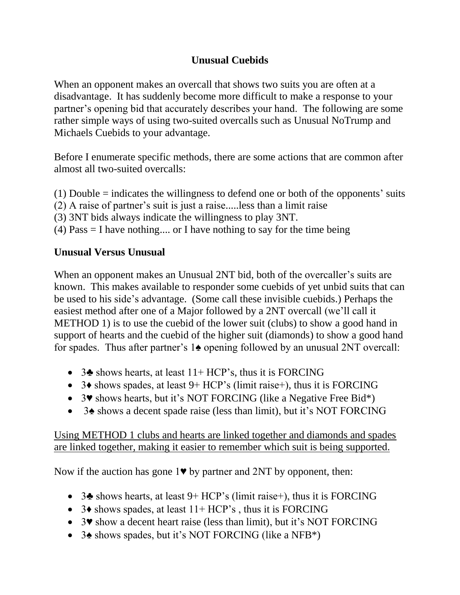## **Unusual Cuebids**

When an opponent makes an overcall that shows two suits you are often at a disadvantage. It has suddenly become more difficult to make a response to your partner's opening bid that accurately describes your hand. The following are some rather simple ways of using two-suited overcalls such as Unusual NoTrump and Michaels Cuebids to your advantage.

Before I enumerate specific methods, there are some actions that are common after almost all two-suited overcalls:

- (1) Double = indicates the willingness to defend one or both of the opponents' suits
- (2) A raise of partner's suit is just a raise.....less than a limit raise
- (3) 3NT bids always indicate the willingness to play 3NT.
- (4) Pass = I have nothing.... or I have nothing to say for the time being

## **Unusual Versus Unusual**

When an opponent makes an Unusual 2NT bid, both of the overcaller's suits are known. This makes available to responder some cuebids of yet unbid suits that can be used to his side's advantage. (Some call these invisible cuebids.) Perhaps the easiest method after one of a Major followed by a 2NT overcall (we'll call it METHOD 1) is to use the cuebid of the lower suit (clubs) to show a good hand in support of hearts and the cuebid of the higher suit (diamonds) to show a good hand for spades. Thus after partner's 1♠ opening followed by an unusual 2NT overcall:

- 3 $\blacktriangle$  shows hearts, at least 11+ HCP's, thus it is FORCING
- $\bullet$  3 $\bullet$  shows spades, at least 9+ HCP's (limit raise+), thus it is FORCING
- 3♥ shows hearts, but it's NOT FORCING (like a Negative Free Bid\*)
- 3♠ shows a decent spade raise (less than limit), but it's NOT FORCING

## Using METHOD 1 clubs and hearts are linked together and diamonds and spades are linked together, making it easier to remember which suit is being supported.

Now if the auction has gone 1♥ by partner and 2NT by opponent, then:

- 3 $\bullet$  shows hearts, at least 9+ HCP's (limit raise+), thus it is FORCING
- $\bullet$  3 $\bullet$  shows spades, at least 11+ HCP's, thus it is FORCING
- 3♥ show a decent heart raise (less than limit), but it's NOT FORCING
- 3♠ shows spades, but it's NOT FORCING (like a NFB\*)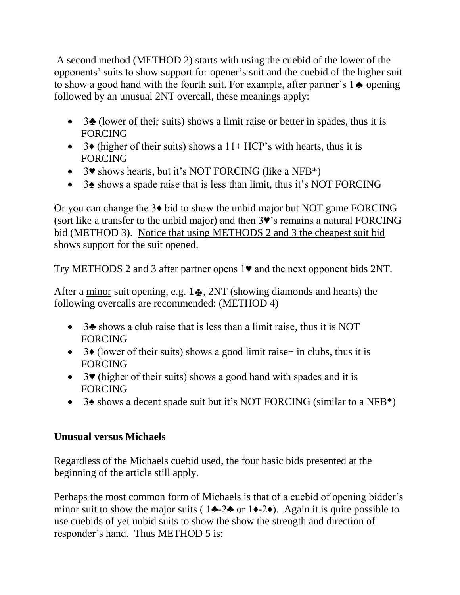A second method (METHOD 2) starts with using the cuebid of the lower of the opponents' suits to show support for opener's suit and the cuebid of the higher suit to show a good hand with the fourth suit. For example, after partner's  $1 \triangleq$  opening followed by an unusual 2NT overcall, these meanings apply:

- $\bullet$  3 $\bullet$  (lower of their suits) shows a limit raise or better in spades, thus it is FORCING
- $\bullet$  3 $\bullet$  (higher of their suits) shows a 11+ HCP's with hearts, thus it is FORCING
- $\bullet$  3 $\bullet$  shows hearts, but it's NOT FORCING (like a NFB<sup>\*</sup>)
- 3♠ shows a spade raise that is less than limit, thus it's NOT FORCING

Or you can change the 3♦ bid to show the unbid major but NOT game FORCING (sort like a transfer to the unbid major) and then 3♥'s remains a natural FORCING bid (METHOD 3). Notice that using METHODS 2 and 3 the cheapest suit bid shows support for the suit opened.

Try METHODS 2 and 3 after partner opens 1♥ and the next opponent bids 2NT.

After a minor suit opening, e.g.  $1\clubsuit$ ,  $2NT$  (showing diamonds and hearts) the following overcalls are recommended: (METHOD 4)

- 3♣ shows a club raise that is less than a limit raise, thus it is NOT FORCING
- $\bullet$  3 $\bullet$  (lower of their suits) shows a good limit raise+ in clubs, thus it is FORCING
- 3♥ (higher of their suits) shows a good hand with spades and it is FORCING
- 3♠ shows a decent spade suit but it's NOT FORCING (similar to a NFB\*)

## **Unusual versus Michaels**

Regardless of the Michaels cuebid used, the four basic bids presented at the beginning of the article still apply.

Perhaps the most common form of Michaels is that of a cuebid of opening bidder's minor suit to show the major suits (  $1\blacktriangleright 2\blacktriangleright$  or  $1\blacktriangleright 2\blacktriangleright$ ). Again it is quite possible to use cuebids of yet unbid suits to show the show the strength and direction of responder's hand. Thus METHOD 5 is: